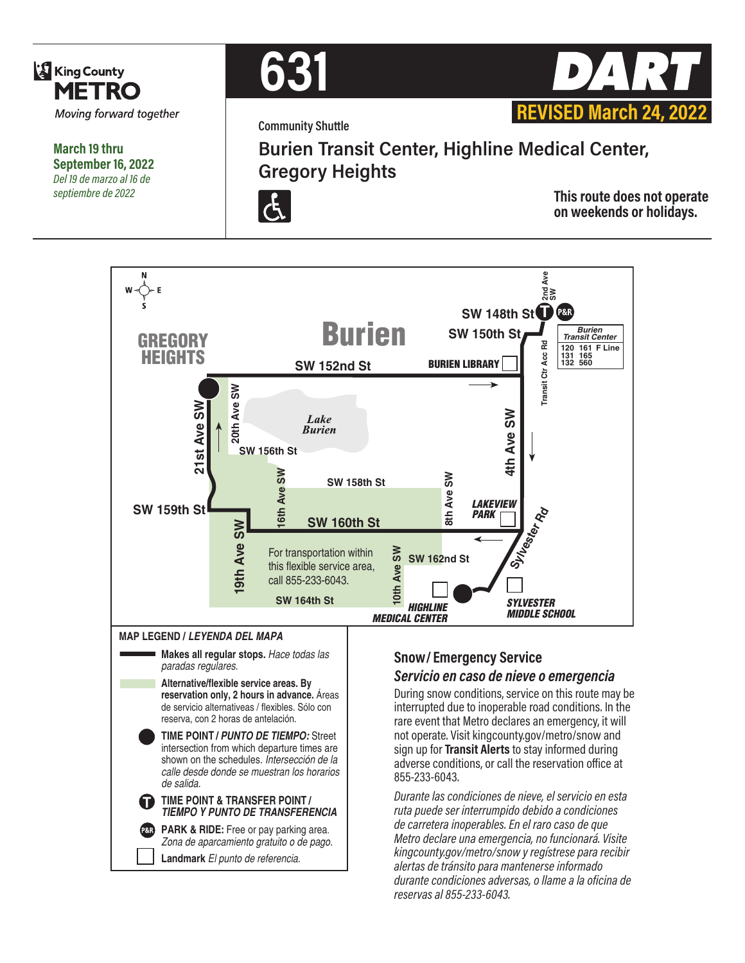

**March 19 thru September 16, 2022** *Del 19 de marzo al 16 de septiembre de 2022*



**Community Shuttle**



**Burien Transit Center, Highline Medical Center, Gregory Heights**



**This route does not operate on weekends or holidays.**